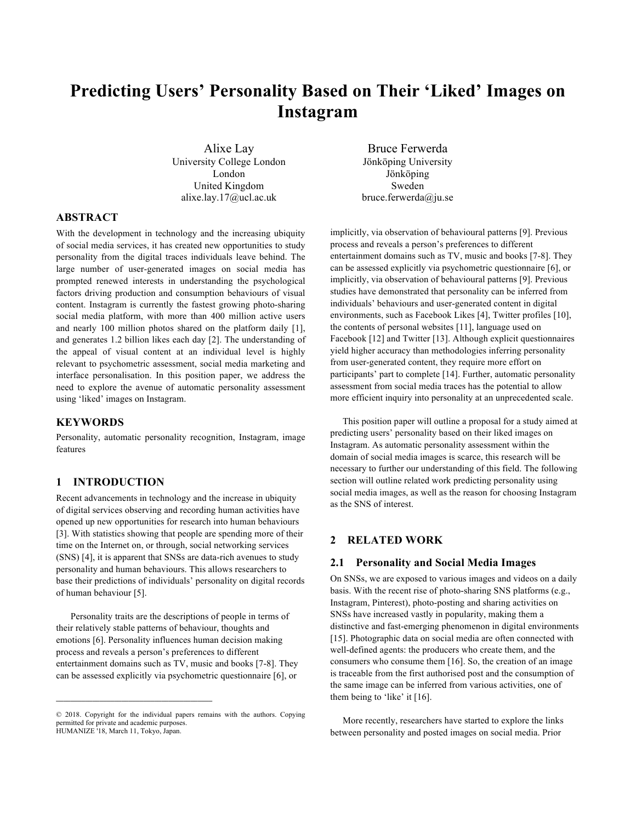# **Predicting Users' Personality Based on Their 'Liked' Images on Instagram**

Alixe Lay University College London London United Kingdom alixe.lay.17@ucl.ac.uk

Bruce Ferwerda Jönköping University Jönköping Sweden bruce.ferwerda@ju.se

## **ABSTRACT**

With the development in technology and the increasing ubiquity of social media services, it has created new opportunities to study personality from the digital traces individuals leave behind. The large number of user-generated images on social media has prompted renewed interests in understanding the psychological factors driving production and consumption behaviours of visual content. Instagram is currently the fastest growing photo-sharing social media platform, with more than 400 million active users and nearly 100 million photos shared on the platform daily [1], and generates 1.2 billion likes each day [2]. The understanding of the appeal of visual content at an individual level is highly relevant to psychometric assessment, social media marketing and interface personalisation. In this position paper, we address the need to explore the avenue of automatic personality assessment using 'liked' images on Instagram.

## **KEYWORDS**

Personality, automatic personality recognition, Instagram, image features

## **1 INTRODUCTION**

Recent advancements in technology and the increase in ubiquity of digital services observing and recording human activities have opened up new opportunities for research into human behaviours [3]. With statistics showing that people are spending more of their time on the Internet on, or through, social networking services (SNS) [4], it is apparent that SNSs are data-rich avenues to study personality and human behaviours. This allows researchers to base their predictions of individuals' personality on digital records of human behaviour [5].

Personality traits are the descriptions of people in terms of their relatively stable patterns of behaviour, thoughts and emotions [6]. Personality influences human decision making process and reveals a person's preferences to different entertainment domains such as TV, music and books [7-8]. They can be assessed explicitly via psychometric questionnaire [6], or

implicitly, via observation of behavioural patterns [9]. Previous process and reveals a person's preferences to different entertainment domains such as TV, music and books [7-8]. They can be assessed explicitly via psychometric questionnaire [6], or implicitly, via observation of behavioural patterns [9]. Previous studies have demonstrated that personality can be inferred from individuals' behaviours and user-generated content in digital environments, such as Facebook Likes [4], Twitter profiles [10], the contents of personal websites [11], language used on Facebook [12] and Twitter [13]. Although explicit questionnaires yield higher accuracy than methodologies inferring personality from user-generated content, they require more effort on participants' part to complete [14]. Further, automatic personality assessment from social media traces has the potential to allow more efficient inquiry into personality at an unprecedented scale.

This position paper will outline a proposal for a study aimed at predicting users' personality based on their liked images on Instagram. As automatic personality assessment within the domain of social media images is scarce, this research will be necessary to further our understanding of this field. The following section will outline related work predicting personality using social media images, as well as the reason for choosing Instagram as the SNS of interest.

## **2 RELATED WORK**

#### **2.1 Personality and Social Media Images**

On SNSs, we are exposed to various images and videos on a daily basis. With the recent rise of photo-sharing SNS platforms (e.g., Instagram, Pinterest), photo-posting and sharing activities on SNSs have increased vastly in popularity, making them a distinctive and fast-emerging phenomenon in digital environments [15]. Photographic data on social media are often connected with well-defined agents: the producers who create them, and the consumers who consume them [16]. So, the creation of an image is traceable from the first authorised post and the consumption of the same image can be inferred from various activities, one of them being to 'like' it [16].

More recently, researchers have started to explore the links between personality and posted images on social media. Prior

<sup>© 2018.</sup> Copyright for the individual papers remains with the authors. Copying permitted for private and academic purposes. HUMANIZE '18, March 11, Tokyo, Japan.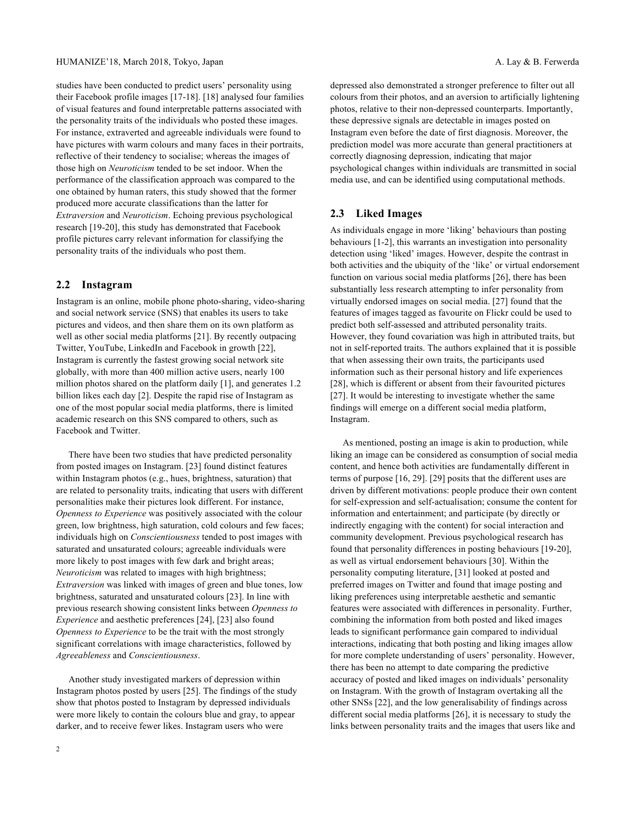studies have been conducted to predict users' personality using their Facebook profile images [17-18]. [18] analysed four families of visual features and found interpretable patterns associated with the personality traits of the individuals who posted these images. For instance, extraverted and agreeable individuals were found to have pictures with warm colours and many faces in their portraits, reflective of their tendency to socialise; whereas the images of those high on *Neuroticism* tended to be set indoor. When the performance of the classification approach was compared to the one obtained by human raters, this study showed that the former produced more accurate classifications than the latter for *Extraversion* and *Neuroticism*. Echoing previous psychological research [19-20], this study has demonstrated that Facebook profile pictures carry relevant information for classifying the personality traits of the individuals who post them.

## **2.2 Instagram**

Instagram is an online, mobile phone photo-sharing, video-sharing and social network service (SNS) that enables its users to take pictures and videos, and then share them on its own platform as well as other social media platforms [21]. By recently outpacing Twitter, YouTube, LinkedIn and Facebook in growth [22], Instagram is currently the fastest growing social network site globally, with more than 400 million active users, nearly 100 million photos shared on the platform daily [1], and generates 1.2 billion likes each day [2]. Despite the rapid rise of Instagram as one of the most popular social media platforms, there is limited academic research on this SNS compared to others, such as Facebook and Twitter.

There have been two studies that have predicted personality from posted images on Instagram. [23] found distinct features within Instagram photos (e.g., hues, brightness, saturation) that are related to personality traits, indicating that users with different personalities make their pictures look different. For instance, *Openness to Experience* was positively associated with the colour green, low brightness, high saturation, cold colours and few faces; individuals high on *Conscientiousness* tended to post images with saturated and unsaturated colours; agreeable individuals were more likely to post images with few dark and bright areas; *Neuroticism* was related to images with high brightness; *Extraversion* was linked with images of green and blue tones, low brightness, saturated and unsaturated colours [23]. In line with previous research showing consistent links between *Openness to Experience* and aesthetic preferences [24], [23] also found *Openness to Experience* to be the trait with the most strongly significant correlations with image characteristics, followed by *Agreeableness* and *Conscientiousness*.

Another study investigated markers of depression within Instagram photos posted by users [25]. The findings of the study show that photos posted to Instagram by depressed individuals were more likely to contain the colours blue and gray, to appear darker, and to receive fewer likes. Instagram users who were

2

depressed also demonstrated a stronger preference to filter out all colours from their photos, and an aversion to artificially lightening photos, relative to their non-depressed counterparts. Importantly, these depressive signals are detectable in images posted on Instagram even before the date of first diagnosis. Moreover, the prediction model was more accurate than general practitioners at correctly diagnosing depression, indicating that major psychological changes within individuals are transmitted in social media use, and can be identified using computational methods.

## **2.3 Liked Images**

As individuals engage in more 'liking' behaviours than posting behaviours [1-2], this warrants an investigation into personality detection using 'liked' images. However, despite the contrast in both activities and the ubiquity of the 'like' or virtual endorsement function on various social media platforms [26], there has been substantially less research attempting to infer personality from virtually endorsed images on social media. [27] found that the features of images tagged as favourite on Flickr could be used to predict both self-assessed and attributed personality traits. However, they found covariation was high in attributed traits, but not in self-reported traits. The authors explained that it is possible that when assessing their own traits, the participants used information such as their personal history and life experiences [28], which is different or absent from their favourited pictures [27]. It would be interesting to investigate whether the same findings will emerge on a different social media platform, Instagram.

As mentioned, posting an image is akin to production, while liking an image can be considered as consumption of social media content, and hence both activities are fundamentally different in terms of purpose [16, 29]. [29] posits that the different uses are driven by different motivations: people produce their own content for self-expression and self-actualisation; consume the content for information and entertainment; and participate (by directly or indirectly engaging with the content) for social interaction and community development. Previous psychological research has found that personality differences in posting behaviours [19-20], as well as virtual endorsement behaviours [30]. Within the personality computing literature, [31] looked at posted and preferred images on Twitter and found that image posting and liking preferences using interpretable aesthetic and semantic features were associated with differences in personality. Further, combining the information from both posted and liked images leads to significant performance gain compared to individual interactions, indicating that both posting and liking images allow for more complete understanding of users' personality. However, there has been no attempt to date comparing the predictive accuracy of posted and liked images on individuals' personality on Instagram. With the growth of Instagram overtaking all the other SNSs [22], and the low generalisability of findings across different social media platforms [26], it is necessary to study the links between personality traits and the images that users like and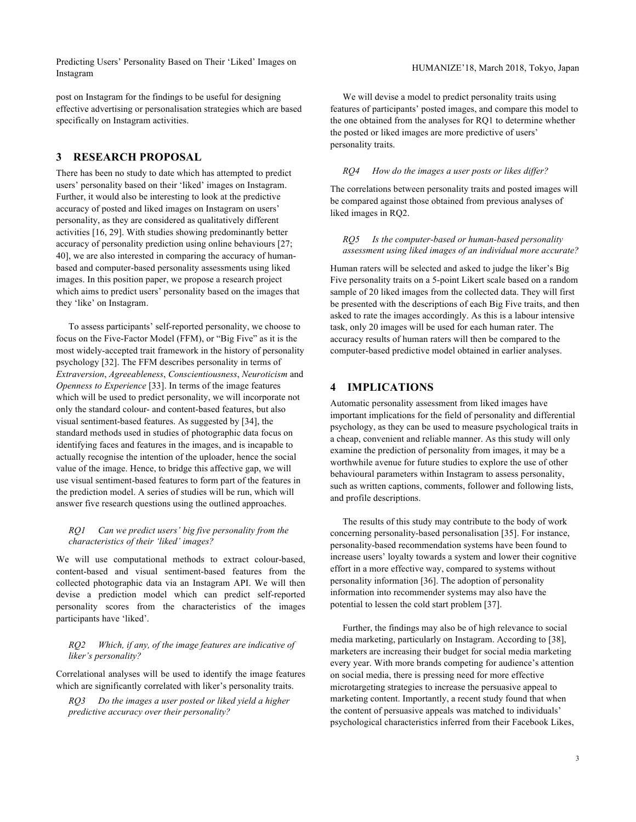Predicting Users' Personality Based on Their 'Liked' Images on Instagram Instagram HUMANIZE'18, March 2018, Tokyo, Japan Instagram

post on Instagram for the findings to be useful for designing effective advertising or personalisation strategies which are based specifically on Instagram activities.

## **3 RESEARCH PROPOSAL**

There has been no study to date which has attempted to predict users' personality based on their 'liked' images on Instagram. Further, it would also be interesting to look at the predictive accuracy of posted and liked images on Instagram on users' personality, as they are considered as qualitatively different activities [16, 29]. With studies showing predominantly better accuracy of personality prediction using online behaviours [27; 40], we are also interested in comparing the accuracy of humanbased and computer-based personality assessments using liked images. In this position paper, we propose a research project which aims to predict users' personality based on the images that they 'like' on Instagram.

To assess participants' self-reported personality, we choose to focus on the Five-Factor Model (FFM), or "Big Five" as it is the most widely-accepted trait framework in the history of personality psychology [32]. The FFM describes personality in terms of *Extraversion*, *Agreeableness*, *Conscientiousness*, *Neuroticism* and *Openness to Experience* [33]. In terms of the image features which will be used to predict personality, we will incorporate not only the standard colour- and content-based features, but also visual sentiment-based features. As suggested by [34], the standard methods used in studies of photographic data focus on identifying faces and features in the images, and is incapable to actually recognise the intention of the uploader, hence the social value of the image. Hence, to bridge this affective gap, we will use visual sentiment-based features to form part of the features in the prediction model. A series of studies will be run, which will answer five research questions using the outlined approaches.

## *RQ1 Can we predict users' big five personality from the characteristics of their 'liked' images?*

We will use computational methods to extract colour-based, content-based and visual sentiment-based features from the collected photographic data via an Instagram API. We will then devise a prediction model which can predict self-reported personality scores from the characteristics of the images participants have 'liked'.

#### *RQ2 Which, if any, of the image features are indicative of liker's personality?*

Correlational analyses will be used to identify the image features which are significantly correlated with liker's personality traits.

*RQ3 Do the images a user posted or liked yield a higher predictive accuracy over their personality?*

We will devise a model to predict personality traits using features of participants' posted images, and compare this model to the one obtained from the analyses for RQ1 to determine whether the posted or liked images are more predictive of users' personality traits.

#### *RQ4 How do the images a user posts or likes differ?*

The correlations between personality traits and posted images will be compared against those obtained from previous analyses of liked images in RQ2.

#### *RQ5 Is the computer-based or human-based personality assessment using liked images of an individual more accurate?*

Human raters will be selected and asked to judge the liker's Big Five personality traits on a 5-point Likert scale based on a random sample of 20 liked images from the collected data. They will first be presented with the descriptions of each Big Five traits, and then asked to rate the images accordingly. As this is a labour intensive task, only 20 images will be used for each human rater. The accuracy results of human raters will then be compared to the computer-based predictive model obtained in earlier analyses.

## **4 IMPLICATIONS**

Automatic personality assessment from liked images have important implications for the field of personality and differential psychology, as they can be used to measure psychological traits in a cheap, convenient and reliable manner. As this study will only examine the prediction of personality from images, it may be a worthwhile avenue for future studies to explore the use of other behavioural parameters within Instagram to assess personality, such as written captions, comments, follower and following lists, and profile descriptions.

The results of this study may contribute to the body of work concerning personality-based personalisation [35]. For instance, personality-based recommendation systems have been found to increase users' loyalty towards a system and lower their cognitive effort in a more effective way, compared to systems without personality information [36]. The adoption of personality information into recommender systems may also have the potential to lessen the cold start problem [37].

Further, the findings may also be of high relevance to social media marketing, particularly on Instagram. According to [38], marketers are increasing their budget for social media marketing every year. With more brands competing for audience's attention on social media, there is pressing need for more effective microtargeting strategies to increase the persuasive appeal to marketing content. Importantly, a recent study found that when the content of persuasive appeals was matched to individuals' psychological characteristics inferred from their Facebook Likes,